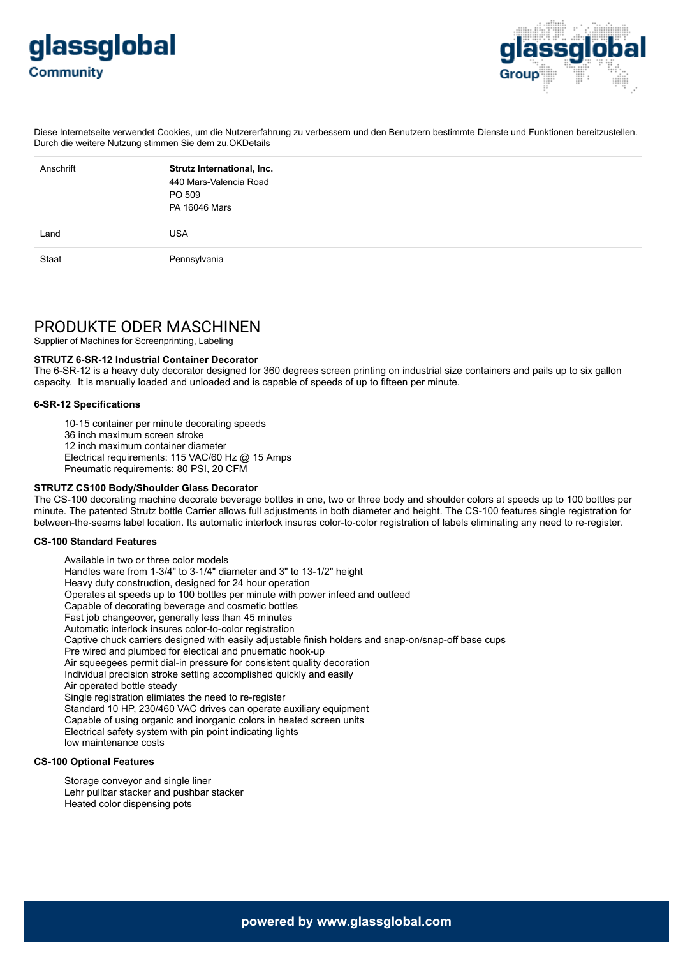



Diese Internetseite verwendet Cookies, um die Nutzererfahrung zu verbessern und den Benutzern bestimmte Dienste und Funktionen bereitzustellen. Durch die weitere Nutzung stimmen Sie dem zu.OKDetails

| Anschrift | Strutz International, Inc.<br>440 Mars-Valencia Road<br>PO 509<br>PA 16046 Mars |
|-----------|---------------------------------------------------------------------------------|
| Land      | <b>USA</b>                                                                      |
| Staat     | Pennsylvania                                                                    |

# PRODUKTE ODER MASCHINEN

Supplier of Machines for Screenprinting, Labeling

#### **STRUTZ 6-SR-12 Industrial Container Decorator**

The 6-SR-12 is a heavy duty decorator designed for 360 degrees screen printing on industrial size containers and pails up to six gallon capacity. It is manually loaded and unloaded and is capable of speeds of up to fifteen per minute.

## **6-SR-12 Specifications**

10-15 container per minute decorating speeds 36 inch maximum screen stroke 12 inch maximum container diameter Electrical requirements: 115 VAC/60 Hz @ 15 Amps Pneumatic requirements: 80 PSI, 20 CFM

## **STRUTZ CS100 Body/Shoulder Glass Decorator**

The CS-100 decorating machine decorate beverage bottles in one, two or three body and shoulder colors at speeds up to 100 bottles per minute. The patented Strutz bottle Carrier allows full adjustments in both diameter and height. The CS-100 features single registration for between-the-seams label location. Its automatic interlock insures color-to-color registration of labels eliminating any need to re-register.

## **CS-100 Standard Features**

Available in two or three color models Handles ware from 1-3/4" to 3-1/4" diameter and 3" to 13-1/2" height Heavy duty construction, designed for 24 hour operation Operates at speeds up to 100 bottles per minute with power infeed and outfeed Capable of decorating beverage and cosmetic bottles Fast job changeover, generally less than 45 minutes Automatic interlock insures color-to-color registration Captive chuck carriers designed with easily adjustable finish holders and snap-on/snap-off base cups Pre wired and plumbed for electical and pnuematic hook-up Air squeegees permit dial-in pressure for consistent quality decoration Individual precision stroke setting accomplished quickly and easily Air operated bottle steady Single registration elimiates the need to re-register Standard 10 HP, 230/460 VAC drives can operate auxiliary equipment Capable of using organic and inorganic colors in heated screen units Electrical safety system with pin point indicating lights low maintenance costs

#### **CS-100 Optional Features**

Storage conveyor and single liner Lehr pullbar stacker and pushbar stacker Heated color dispensing pots